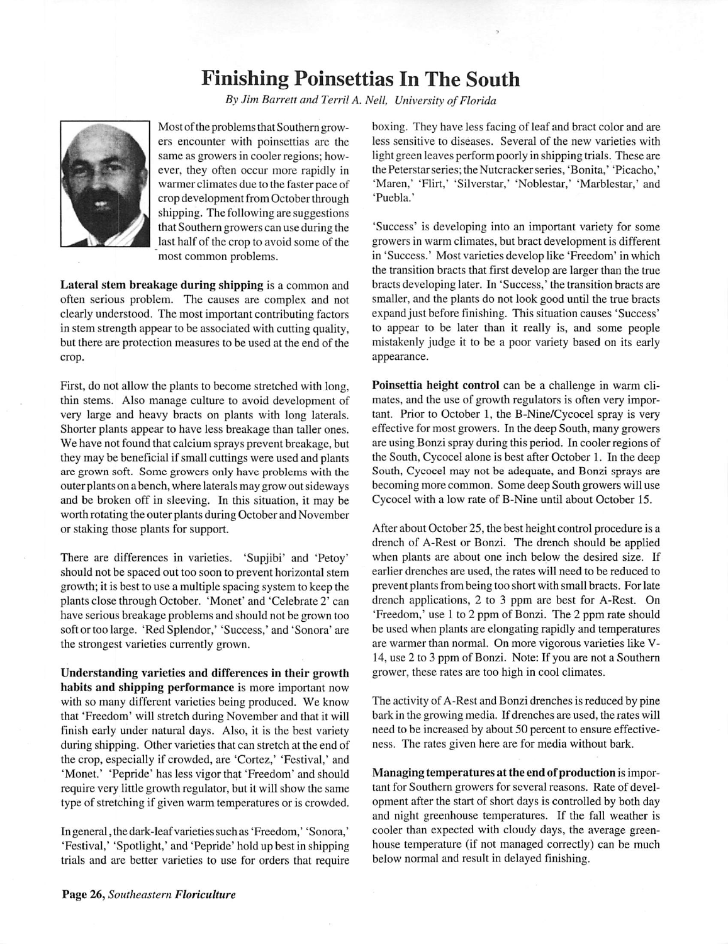## Finishing Poinsettias In The South

By Jim Barrett and Terril A. Nell, University of Florida



Most of the problems that Southern growers encounter with poinsettias are the same as growers in cooler regions; how ever, they often occur more rapidly in warmer climates due to the faster pace of crop development from October through shipping. The following are suggestions that Southern growers can use during the last half of the crop to avoid some of the most common problems.

*Lateral stem breakage during shipping* is a common and often serious problem. The causes are complex and not clearly understood. The most important contributing factors in stem strength appear to be associated with cutting quality, but there are protection measures to be used at the end of the crop.

First, do not allow the plants to become stretched with long, thin stems. Also manage culture to avoid development of very large and heavy bracts on plants with long laterals. Shorter plants appear to have less breakage than taller ones. We have not found that calcium sprays prevent breakage, but they may be beneficial if small cuttings were used and plants are grown soft. Some growers only have problems with the outer plants on a bench, where laterals may grow out sideways and be broken off in sleeving. In this situation, it may be worth rotating the outer plants during October and November or staking those plants for support.

There are differences in varieties. 'Supjibi' and 'Petoy' should not be spaced out too soon to prevent horizontal stem growth; it is best to use a multiple spacing system to keep the plants close through October. 'Monet' and 'Celebrate 2' can have serious breakage problems and should not be grown too soft or too large. 'Red Splendor,' 'Success,'and'Sonora'are the strongest varieties currently grown.

*Understanding varieties and differences in their growth habits and shipping performance* is more important now with so many different varieties being produced. We know that 'Freedom' will stretch during November and that it will finish early under natural days. Also, it is the best variety during shipping. Other varieties that can stretch at the end of the crop, especially if crowded, are 'Cortez,' 'Festival,' and 'Monet.' 'Pepride' has less vigor that 'Freedom' and should require very little growth regulator, but it will show the same type of stretching if given warm temperatures or is crowded.

In general, the dark-leafvarietiessuch as 'Freedom,' 'Sonora,' 'Festival,' 'Spotlight,' and 'Pepride' hold up best in shipping trials and are better varieties to use for orders that require boxing. They have less facing of leaf and bract color and are less sensitive to diseases. Several of the new varieties with light green leaves perform poorly in shipping trials. These are the Peterstarseries; the Nutcrackerseries, 'Bonita,' 'Picacho,' 'Maren,' 'Flirt,' 'Silverstar,' 'Noblestar,' 'Marblestar,' and 'Puebla.'

'Success' is developing into an important variety for some growers in warm climates, but bract development is different in 'Success.' Most varieties develop like 'Freedom' in which the transition bracts that first develop are larger than the true bracts developing later. In 'Success,' the transition bracts are smaller, and the plants do not look good until the true bracts expand just before finishing. This situation causes 'Success' to appear to be later than it really is, and some people mistakenly judge it to be a poor variety based on its early appearance.

*Poinsettia height control* can be a challenge in warm cli mates, and the use of growth regulators is often very impor tant. Prior to October 1, the B-Nine/Cycocel spray is very effective for most growers. In the deep South, many growers are using Bonzi spray during this period. In cooler regions of the South, Cycocel alone is best after October 1. In the deep South, Cycocel may not be adequate, and Bonzi sprays are becoming more common. Some deep South growers will use Cycocel with a low rate of B-Nine until about October 15.

After about October 25, the best height control procedure is a drench of A-Rest or Bonzi. The drench should be applied when plants are about one inch below the desired size. If earlier drenches are used, the rates will need to be reduced to prevent plants from being too short with small bracts. For late drench applications, 2 to 3 ppm are best for A-Rest. On 'Freedom,' use 1 to 2 ppm of Bonzi. The 2 ppm rate should be used when plants are elongating rapidly and temperatures are warmer than normal. On more vigorous varieties like V-14, use 2 to 3 ppm of Bonzi. Note: If you are not a Southern grower, these rates are too high in cool climates.

The activity of A-Rest and Bonzi drenches is reduced by pine bark in the growing media. If drenches are used, the rates will need to be increased by about 50 percent to ensure effective ness. The rates given here are for media without bark.

*Managing temperatures at the end ofproduction* is impor tant for Southern growers for several reasons. Rate of devel opment after the start of short days is controlled by both day and night greenhouse temperatures. If the fall weather is cooler than expected with cloudy days, the average green house temperature (if not managed correctly) can be much below normal and result in delayed finishing.